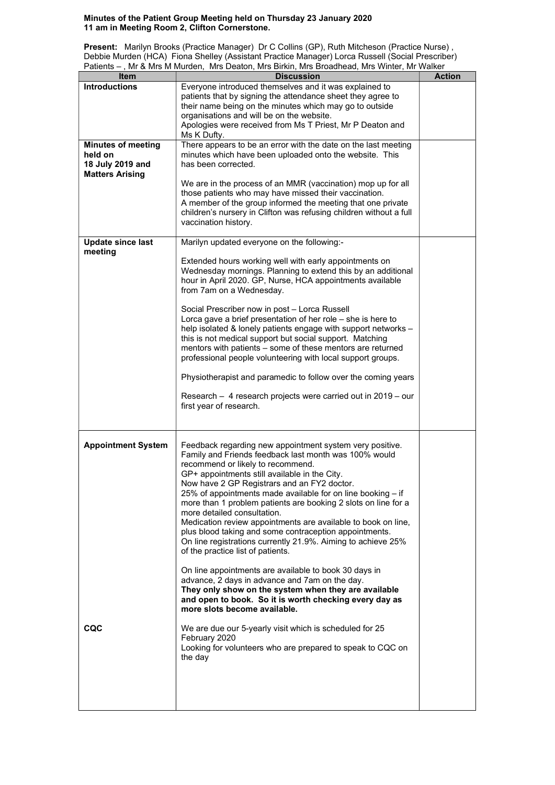## Minutes of the Patient Group Meeting held on Thursday 23 January 2020 11 am in Meeting Room 2, Clifton Cornerstone.

Present: Marilyn Brooks (Practice Manager) Dr C Collins (GP), Ruth Mitcheson (Practice Nurse) , Debbie Murden (HCA) Fiona Shelley (Assistant Practice Manager) Lorca Russell (Social Prescriber) Patients – , Mr & Mrs M Murden, Mrs Deaton, Mrs Birkin, Mrs Broadhead, Mrs Winter, Mr Walker

| י טווטווש<br><b>Item</b>  | $\frac{1}{2}$ in a minor manush, and Dealon, mid Dinnii, mid Dioduncia, mid Winter, mi Walter<br><b>Discussion</b> | <b>Action</b> |
|---------------------------|--------------------------------------------------------------------------------------------------------------------|---------------|
| <b>Introductions</b>      | Everyone introduced themselves and it was explained to                                                             |               |
|                           |                                                                                                                    |               |
|                           | patients that by signing the attendance sheet they agree to                                                        |               |
|                           | their name being on the minutes which may go to outside                                                            |               |
|                           | organisations and will be on the website.                                                                          |               |
|                           | Apologies were received from Ms T Priest, Mr P Deaton and                                                          |               |
|                           | Ms K Dufty.                                                                                                        |               |
| <b>Minutes of meeting</b> | There appears to be an error with the date on the last meeting                                                     |               |
| held on                   | minutes which have been uploaded onto the website. This                                                            |               |
| 18 July 2019 and          | has been corrected.                                                                                                |               |
| <b>Matters Arising</b>    |                                                                                                                    |               |
|                           | We are in the process of an MMR (vaccination) mop up for all                                                       |               |
|                           | those patients who may have missed their vaccination.                                                              |               |
|                           | A member of the group informed the meeting that one private                                                        |               |
|                           | children's nursery in Clifton was refusing children without a full                                                 |               |
|                           | vaccination history.                                                                                               |               |
|                           |                                                                                                                    |               |
| <b>Update since last</b>  | Marilyn updated everyone on the following:-                                                                        |               |
| meeting                   |                                                                                                                    |               |
|                           | Extended hours working well with early appointments on                                                             |               |
|                           | Wednesday mornings. Planning to extend this by an additional                                                       |               |
|                           | hour in April 2020. GP, Nurse, HCA appointments available                                                          |               |
|                           | from 7am on a Wednesday.                                                                                           |               |
|                           |                                                                                                                    |               |
|                           | Social Prescriber now in post - Lorca Russell                                                                      |               |
|                           | Lorca gave a brief presentation of her role $-$ she is here to                                                     |               |
|                           | help isolated & lonely patients engage with support networks -                                                     |               |
|                           | this is not medical support but social support. Matching                                                           |               |
|                           | mentors with patients - some of these mentors are returned                                                         |               |
|                           | professional people volunteering with local support groups.                                                        |               |
|                           |                                                                                                                    |               |
|                           | Physiotherapist and paramedic to follow over the coming years                                                      |               |
|                           |                                                                                                                    |               |
|                           | Research - 4 research projects were carried out in 2019 - our                                                      |               |
|                           | first year of research.                                                                                            |               |
|                           |                                                                                                                    |               |
|                           |                                                                                                                    |               |
|                           |                                                                                                                    |               |
| <b>Appointment System</b> | Feedback regarding new appointment system very positive.                                                           |               |
|                           | Family and Friends feedback last month was 100% would                                                              |               |
|                           | recommend or likely to recommend.                                                                                  |               |
|                           | GP+ appointments still available in the City.                                                                      |               |
|                           | Now have 2 GP Registrars and an FY2 doctor.                                                                        |               |
|                           | 25% of appointments made available for on line booking - if                                                        |               |
|                           | more than 1 problem patients are booking 2 slots on line for a                                                     |               |
|                           | more detailed consultation.                                                                                        |               |
|                           | Medication review appointments are available to book on line,                                                      |               |
|                           | plus blood taking and some contraception appointments.                                                             |               |
|                           | On line registrations currently 21.9%. Aiming to achieve 25%                                                       |               |
|                           | of the practice list of patients.                                                                                  |               |
|                           |                                                                                                                    |               |
|                           | On line appointments are available to book 30 days in                                                              |               |
|                           | advance, 2 days in advance and 7am on the day.                                                                     |               |
|                           | They only show on the system when they are available                                                               |               |
|                           |                                                                                                                    |               |
|                           | and open to book. So it is worth checking every day as<br>more slots become available.                             |               |
|                           |                                                                                                                    |               |
| CQC                       | We are due our 5-yearly visit which is scheduled for 25                                                            |               |
|                           | February 2020                                                                                                      |               |
|                           |                                                                                                                    |               |
|                           | Looking for volunteers who are prepared to speak to CQC on                                                         |               |
|                           | the day                                                                                                            |               |
|                           |                                                                                                                    |               |
|                           |                                                                                                                    |               |
|                           |                                                                                                                    |               |
|                           |                                                                                                                    |               |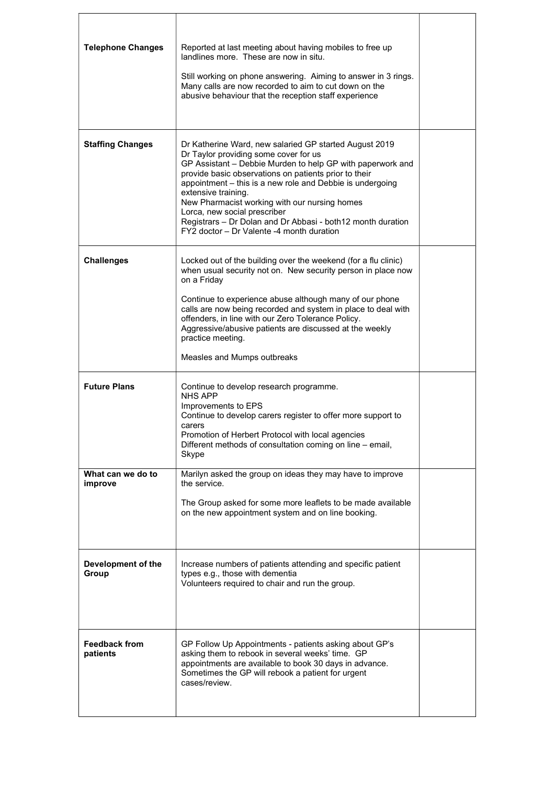| <b>Telephone Changes</b>         | Reported at last meeting about having mobiles to free up<br>landlines more. These are now in situ.<br>Still working on phone answering. Aiming to answer in 3 rings.<br>Many calls are now recorded to aim to cut down on the<br>abusive behaviour that the reception staff experience                                                                                                                                                                                                                  |  |
|----------------------------------|---------------------------------------------------------------------------------------------------------------------------------------------------------------------------------------------------------------------------------------------------------------------------------------------------------------------------------------------------------------------------------------------------------------------------------------------------------------------------------------------------------|--|
| <b>Staffing Changes</b>          | Dr Katherine Ward, new salaried GP started August 2019<br>Dr Taylor providing some cover for us<br>GP Assistant - Debbie Murden to help GP with paperwork and<br>provide basic observations on patients prior to their<br>appointment - this is a new role and Debbie is undergoing<br>extensive training.<br>New Pharmacist working with our nursing homes<br>Lorca, new social prescriber<br>Registrars - Dr Dolan and Dr Abbasi - both12 month duration<br>FY2 doctor - Dr Valente -4 month duration |  |
| <b>Challenges</b>                | Locked out of the building over the weekend (for a flu clinic)<br>when usual security not on. New security person in place now<br>on a Friday<br>Continue to experience abuse although many of our phone<br>calls are now being recorded and system in place to deal with<br>offenders, in line with our Zero Tolerance Policy.<br>Aggressive/abusive patients are discussed at the weekly<br>practice meeting.<br>Measles and Mumps outbreaks                                                          |  |
| <b>Future Plans</b>              | Continue to develop research programme.<br><b>NHS APP</b><br>Improvements to EPS<br>Continue to develop carers register to offer more support to<br>carers<br>Promotion of Herbert Protocol with local agencies<br>Different methods of consultation coming on line - email,<br>Skype                                                                                                                                                                                                                   |  |
| What can we do to<br>improve     | Marilyn asked the group on ideas they may have to improve<br>the service.<br>The Group asked for some more leaflets to be made available<br>on the new appointment system and on line booking.                                                                                                                                                                                                                                                                                                          |  |
| Development of the<br>Group      | Increase numbers of patients attending and specific patient<br>types e.g., those with dementia<br>Volunteers required to chair and run the group.                                                                                                                                                                                                                                                                                                                                                       |  |
| <b>Feedback from</b><br>patients | GP Follow Up Appointments - patients asking about GP's<br>asking them to rebook in several weeks' time. GP<br>appointments are available to book 30 days in advance.<br>Sometimes the GP will rebook a patient for urgent<br>cases/review.                                                                                                                                                                                                                                                              |  |